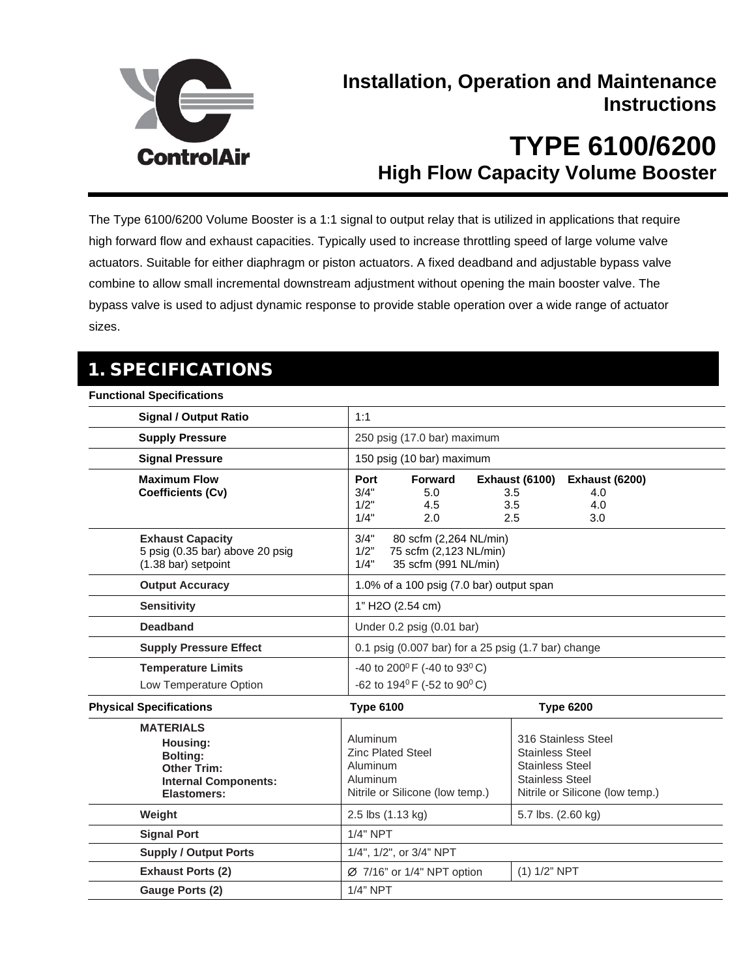

# **Installation, Operation and Maintenance Instructions**

# **TYPE 6100/6200 High Flow Capacity Volume Booster**

The Type 6100/6200 Volume Booster is a 1:1 signal to output relay that is utilized in applications that require high forward flow and exhaust capacities. Typically used to increase throttling speed of large volume valve actuators. Suitable for either diaphragm or piston actuators. A fixed deadband and adjustable bypass valve combine to allow small incremental downstream adjustment without opening the main booster valve. The bypass valve is used to adjust dynamic response to provide stable operation over a wide range of actuator sizes.

# 1. SPECIFICATIONS

#### **Functional Specifications**

| <b>Signal / Output Ratio</b>                                                                                        | 1:1                                                                                              |                                                                                                                                      |  |
|---------------------------------------------------------------------------------------------------------------------|--------------------------------------------------------------------------------------------------|--------------------------------------------------------------------------------------------------------------------------------------|--|
| <b>Supply Pressure</b>                                                                                              | 250 psig (17.0 bar) maximum                                                                      |                                                                                                                                      |  |
| <b>Signal Pressure</b>                                                                                              | 150 psig (10 bar) maximum                                                                        |                                                                                                                                      |  |
| <b>Maximum Flow</b><br>Coefficients (Cv)                                                                            | Port<br>Forward<br>3/4"<br>5.0<br>1/2"<br>4.5<br>1/4"<br>2.0                                     | <b>Exhaust (6100)</b><br><b>Exhaust (6200)</b><br>3.5<br>4.0<br>3.5<br>4.0<br>2.5<br>3.0                                             |  |
| <b>Exhaust Capacity</b><br>5 psig (0.35 bar) above 20 psig<br>(1.38 bar) setpoint                                   | 3/4"<br>80 scfm (2,264 NL/min)<br>1/2"<br>75 scfm (2,123 NL/min)<br>35 scfm (991 NL/min)<br>1/4" |                                                                                                                                      |  |
| <b>Output Accuracy</b>                                                                                              | 1.0% of a 100 psig (7.0 bar) output span                                                         |                                                                                                                                      |  |
| <b>Sensitivity</b>                                                                                                  | 1" H2O (2.54 cm)                                                                                 |                                                                                                                                      |  |
| <b>Deadband</b>                                                                                                     | Under 0.2 psig (0.01 bar)                                                                        |                                                                                                                                      |  |
| <b>Supply Pressure Effect</b>                                                                                       | 0.1 psig $(0.007$ bar) for a 25 psig $(1.7$ bar) change                                          |                                                                                                                                      |  |
| <b>Temperature Limits</b><br>Low Temperature Option                                                                 | -40 to 200°F (-40 to 93°C)<br>-62 to 194 <sup>0</sup> F (-52 to 90 <sup>0</sup> C)               |                                                                                                                                      |  |
| <b>Physical Specifications</b>                                                                                      | <b>Type 6100</b>                                                                                 | <b>Type 6200</b>                                                                                                                     |  |
| <b>MATERIALS</b><br>Housing:<br><b>Bolting:</b><br><b>Other Trim:</b><br><b>Internal Components:</b><br>Elastomers: | Aluminum<br><b>Zinc Plated Steel</b><br>Aluminum<br>Aluminum<br>Nitrile or Silicone (low temp.)  | 316 Stainless Steel<br><b>Stainless Steel</b><br><b>Stainless Steel</b><br><b>Stainless Steel</b><br>Nitrile or Silicone (low temp.) |  |
| Weight                                                                                                              | 2.5 lbs (1.13 kg)                                                                                | 5.7 lbs. (2.60 kg)                                                                                                                   |  |
| <b>Signal Port</b>                                                                                                  | <b>1/4" NPT</b>                                                                                  |                                                                                                                                      |  |
| <b>Supply / Output Ports</b>                                                                                        | 1/4", 1/2", or 3/4" NPT                                                                          |                                                                                                                                      |  |
| <b>Exhaust Ports (2)</b>                                                                                            | Ø 7/16" or 1/4" NPT option                                                                       | $(1)$ 1/2" NPT                                                                                                                       |  |
| Gauge Ports (2)                                                                                                     | $1/4$ " NPT                                                                                      |                                                                                                                                      |  |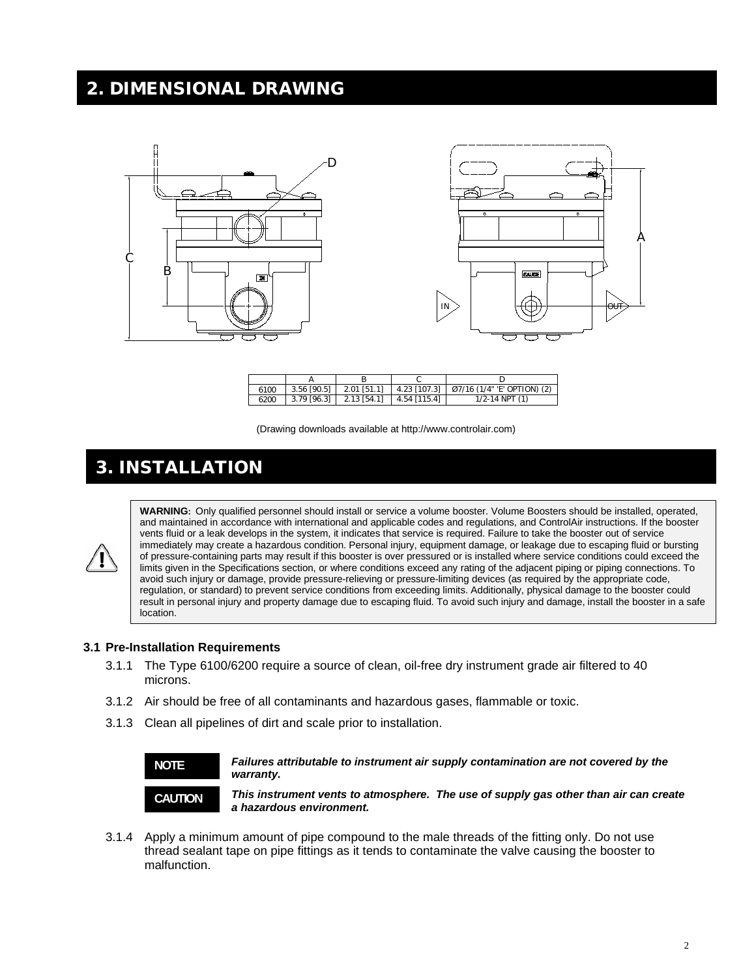### 2. DIMENSIONAL DRAWING



| 6100 |                                            | 3.56 [90.5]   2.01 [51.1]   4.23 [107.3]   Ø7/16 (1/4" E' OPTION) (2) |
|------|--------------------------------------------|-----------------------------------------------------------------------|
| 6200 | $3.79$ [96.3]   2.13 [54.1]   4.54 [115.4] | $1/2 - 14$ NPT $(1)$                                                  |

(Drawing downloads available at http://www.controlair.com)

### 3. INSTALLATION

**WARNING:** Only qualified personnel should install or service a volume booster. Volume Boosters should be installed, operated, and maintained in accordance with international and applicable codes and regulations, and ControlAir instructions. If the booster vents fluid or a leak develops in the system, it indicates that service is required. Failure to take the booster out of service immediately may create a hazardous condition. Personal injury, equipment damage, or leakage due to escaping fluid or bursting of pressure-containing parts may result if this booster is over pressured or is installed where service conditions could exceed the limits given in the Specifications section, or where conditions exceed any rating of the adjacent piping or piping connections. To avoid such injury or damage, provide pressure-relieving or pressure-limiting devices (as required by the appropriate code, regulation, or standard) to prevent service conditions from exceeding limits. Additionally, physical damage to the booster could result in personal injury and property damage due to escaping fluid. To avoid such injury and damage, install the booster in a safe location.

#### **3.1 Pre-Installation Requirements**

- 3.1.1 The Type 6100/6200 require a source of clean, oil-free dry instrument grade air filtered to 40 microns.
- 3.1.2 Air should be free of all contaminants and hazardous gases, flammable or toxic.
- 3.1.3 Clean all pipelines of dirt and scale prior to installation.



*Failures attributable to instrument air supply contamination are not covered by the warranty.*

*This instrument vents to atmosphere. The use of supply gas other than air can create a hazardous environment.*

3.1.4 Apply a minimum amount of pipe compound to the male threads of the fitting only. Do not use thread sealant tape on pipe fittings as it tends to contaminate the valve causing the booster to malfunction.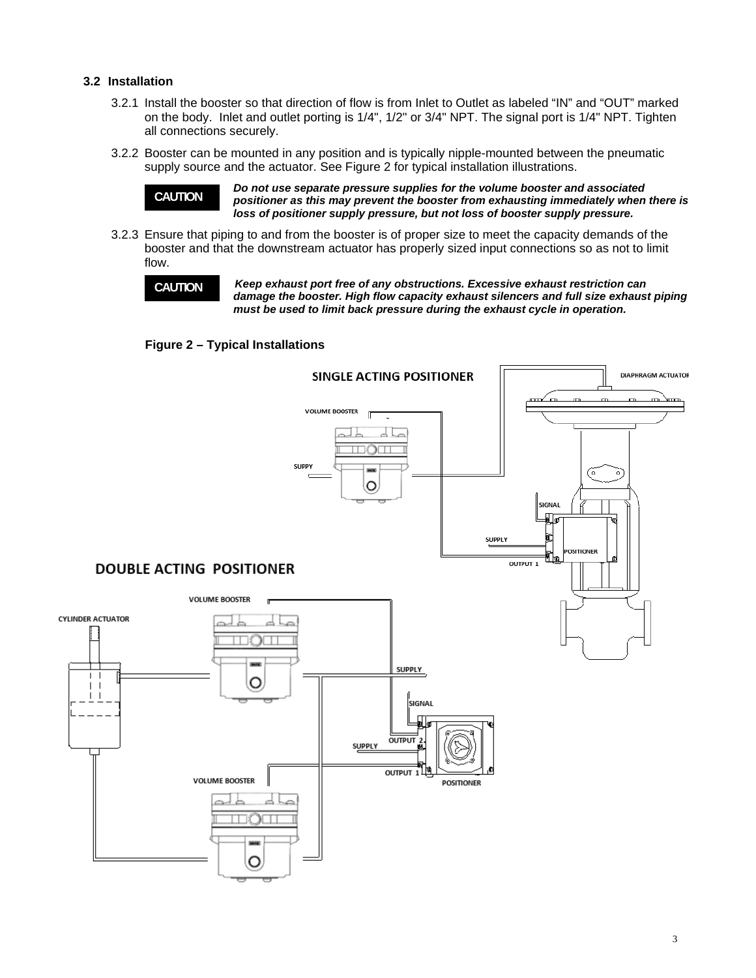#### **3.2 Installation**

- 3.2.1 Install the booster so that direction of flow is from Inlet to Outlet as labeled "IN" and "OUT" marked on the body. Inlet and outlet porting is 1/4", 1/2" or 3/4" NPT. The signal port is 1/4" NPT. Tighten all connections securely.
- 3.2.2 Booster can be mounted in any position and is typically nipple-mounted between the pneumatic supply source and the actuator. See Figure 2 for typical installation illustrations.

**CAUTION**

*Do not use separate pressure supplies for the volume booster and associated positioner as this may prevent the booster from exhausting immediately when there is loss of positioner supply pressure, but not loss of booster supply pressure.*

3.2.3 Ensure that piping to and from the booster is of proper size to meet the capacity demands of the booster and that the downstream actuator has properly sized input connections so as not to limit flow.

**CAUTION**

*Keep exhaust port free of any obstructions. Excessive exhaust restriction can damage the booster. High flow capacity exhaust silencers and full size exhaust piping must be used to limit back pressure during the exhaust cycle in operation.*

**Figure 2 – Typical Installations**